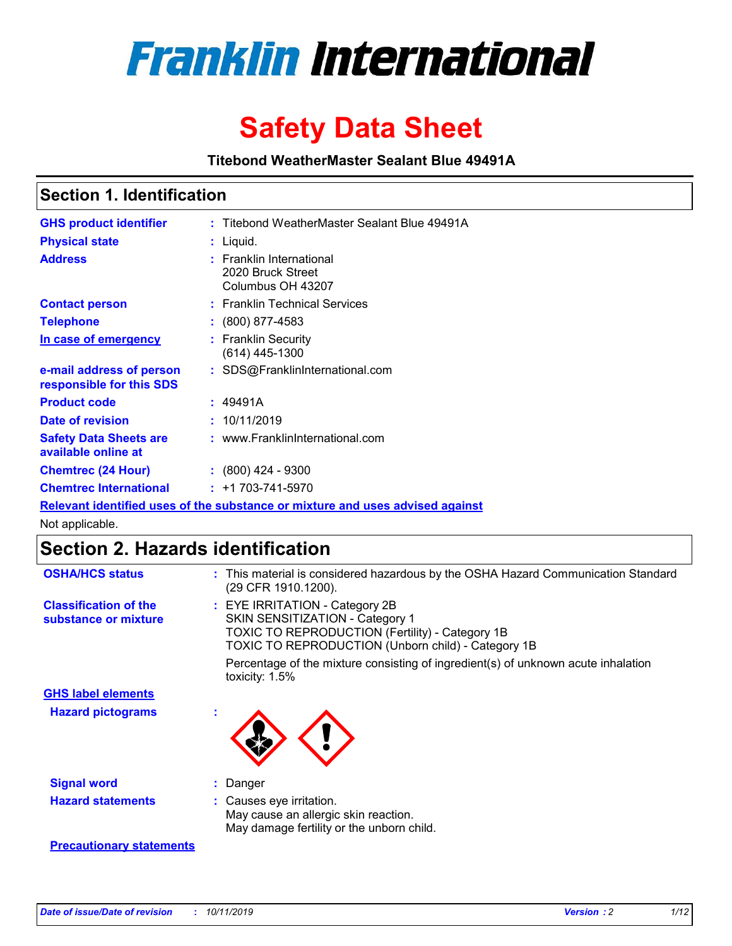

# **Safety Data Sheet**

**Titebond WeatherMaster Sealant Blue 49491A**

### **Section 1. Identification**

| <b>GHS product identifier</b>                        | : Titebond WeatherMaster Sealant Blue 49491A                                  |
|------------------------------------------------------|-------------------------------------------------------------------------------|
| <b>Physical state</b>                                | : Liquid.                                                                     |
| <b>Address</b>                                       | : Franklin International<br>2020 Bruck Street<br>Columbus OH 43207            |
| <b>Contact person</b>                                | : Franklin Technical Services                                                 |
| <b>Telephone</b>                                     | $\colon$ (800) 877-4583                                                       |
| In case of emergency                                 | : Franklin Security<br>(614) 445-1300                                         |
| e-mail address of person<br>responsible for this SDS | : SDS@FranklinInternational.com                                               |
| <b>Product code</b>                                  | : 49491A                                                                      |
| Date of revision                                     | : 10/11/2019                                                                  |
| <b>Safety Data Sheets are</b><br>available online at | : www.FranklinInternational.com                                               |
| <b>Chemtrec (24 Hour)</b>                            | $\div$ (800) 424 - 9300                                                       |
| <b>Chemtrec International</b>                        | $: +1703 - 741 - 5970$                                                        |
|                                                      | Relevant identified uses of the substance or mixture and uses advised against |

Not applicable.

## **Section 2. Hazards identification**

| <b>OSHA/HCS status</b>                               | : This material is considered hazardous by the OSHA Hazard Communication Standard<br>(29 CFR 1910.1200).                                                                                 |
|------------------------------------------------------|------------------------------------------------------------------------------------------------------------------------------------------------------------------------------------------|
| <b>Classification of the</b><br>substance or mixture | : EYE IRRITATION - Category 2B<br>SKIN SENSITIZATION - Category 1<br><b>TOXIC TO REPRODUCTION (Fertility) - Category 1B</b><br><b>TOXIC TO REPRODUCTION (Unborn child) - Category 1B</b> |
|                                                      | Percentage of the mixture consisting of ingredient(s) of unknown acute inhalation<br>toxicity: $1.5\%$                                                                                   |
| <b>GHS label elements</b>                            |                                                                                                                                                                                          |
| <b>Hazard pictograms</b>                             |                                                                                                                                                                                          |
| <b>Signal word</b>                                   | : Danger                                                                                                                                                                                 |
| <b>Hazard statements</b>                             | : Causes eye irritation.<br>May cause an allergic skin reaction.<br>May damage fertility or the unborn child.                                                                            |
| <b>Precautionary statements</b>                      |                                                                                                                                                                                          |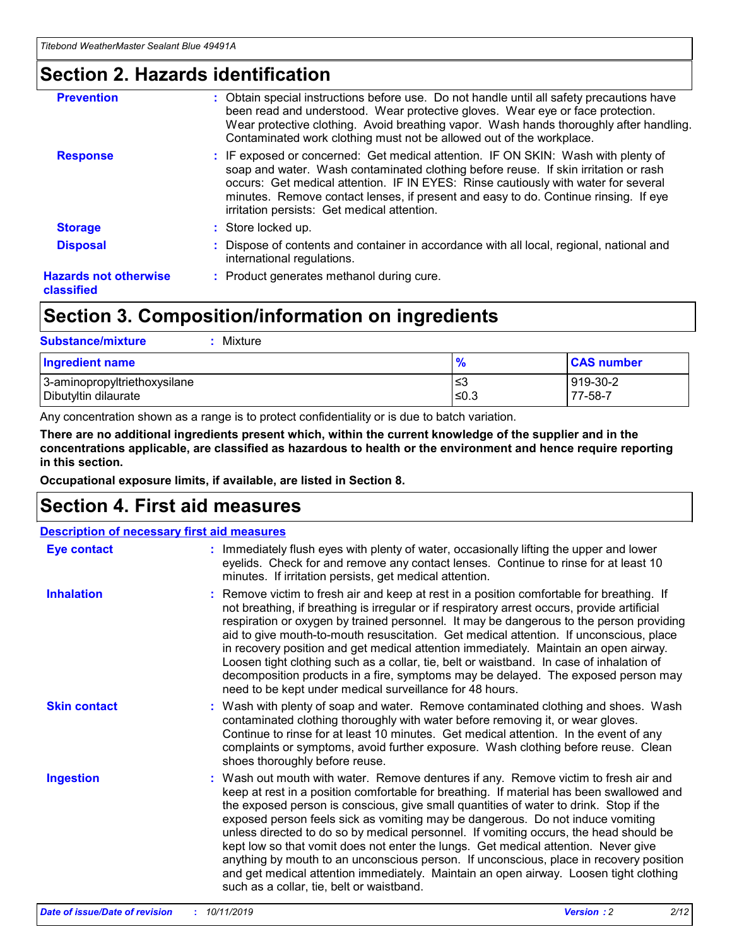### **Section 2. Hazards identification**

| <b>Prevention</b>                          | : Obtain special instructions before use. Do not handle until all safety precautions have<br>been read and understood. Wear protective gloves. Wear eye or face protection.<br>Wear protective clothing. Avoid breathing vapor. Wash hands thoroughly after handling.<br>Contaminated work clothing must not be allowed out of the workplace.                                                        |
|--------------------------------------------|------------------------------------------------------------------------------------------------------------------------------------------------------------------------------------------------------------------------------------------------------------------------------------------------------------------------------------------------------------------------------------------------------|
| <b>Response</b>                            | : IF exposed or concerned: Get medical attention. IF ON SKIN: Wash with plenty of<br>soap and water. Wash contaminated clothing before reuse. If skin irritation or rash<br>occurs: Get medical attention. IF IN EYES: Rinse cautiously with water for several<br>minutes. Remove contact lenses, if present and easy to do. Continue rinsing. If eye<br>irritation persists: Get medical attention. |
| <b>Storage</b>                             | : Store locked up.                                                                                                                                                                                                                                                                                                                                                                                   |
| <b>Disposal</b>                            | : Dispose of contents and container in accordance with all local, regional, national and<br>international regulations.                                                                                                                                                                                                                                                                               |
| <b>Hazards not otherwise</b><br>classified | : Product generates methanol during cure.                                                                                                                                                                                                                                                                                                                                                            |
|                                            |                                                                                                                                                                                                                                                                                                                                                                                                      |

### **Section 3. Composition/information on ingredients**

| <b>Substance/mixture</b><br>Mixture                  |               |                     |
|------------------------------------------------------|---------------|---------------------|
| <b>Ingredient name</b>                               | $\frac{9}{6}$ | <b>CAS number</b>   |
| 3-aminopropyltriethoxysilane<br>Dibutyltin dilaurate | ≤3<br>$≤0.3$  | 919-30-2<br>77-58-7 |

Any concentration shown as a range is to protect confidentiality or is due to batch variation.

**There are no additional ingredients present which, within the current knowledge of the supplier and in the concentrations applicable, are classified as hazardous to health or the environment and hence require reporting in this section.**

**Occupational exposure limits, if available, are listed in Section 8.**

### **Section 4. First aid measures**

| <b>Description of necessary first aid measures</b> |                                                                                                                                                                                                                                                                                                                                                                                                                                                                                                                                                                                                                                                                                                                                                                           |  |  |  |
|----------------------------------------------------|---------------------------------------------------------------------------------------------------------------------------------------------------------------------------------------------------------------------------------------------------------------------------------------------------------------------------------------------------------------------------------------------------------------------------------------------------------------------------------------------------------------------------------------------------------------------------------------------------------------------------------------------------------------------------------------------------------------------------------------------------------------------------|--|--|--|
| <b>Eye contact</b>                                 | : Immediately flush eyes with plenty of water, occasionally lifting the upper and lower<br>eyelids. Check for and remove any contact lenses. Continue to rinse for at least 10<br>minutes. If irritation persists, get medical attention.                                                                                                                                                                                                                                                                                                                                                                                                                                                                                                                                 |  |  |  |
| <b>Inhalation</b>                                  | : Remove victim to fresh air and keep at rest in a position comfortable for breathing. If<br>not breathing, if breathing is irregular or if respiratory arrest occurs, provide artificial<br>respiration or oxygen by trained personnel. It may be dangerous to the person providing<br>aid to give mouth-to-mouth resuscitation. Get medical attention. If unconscious, place<br>in recovery position and get medical attention immediately. Maintain an open airway.<br>Loosen tight clothing such as a collar, tie, belt or waistband. In case of inhalation of<br>decomposition products in a fire, symptoms may be delayed. The exposed person may<br>need to be kept under medical surveillance for 48 hours.                                                       |  |  |  |
| <b>Skin contact</b>                                | : Wash with plenty of soap and water. Remove contaminated clothing and shoes. Wash<br>contaminated clothing thoroughly with water before removing it, or wear gloves.<br>Continue to rinse for at least 10 minutes. Get medical attention. In the event of any<br>complaints or symptoms, avoid further exposure. Wash clothing before reuse. Clean<br>shoes thoroughly before reuse.                                                                                                                                                                                                                                                                                                                                                                                     |  |  |  |
| <b>Ingestion</b>                                   | : Wash out mouth with water. Remove dentures if any. Remove victim to fresh air and<br>keep at rest in a position comfortable for breathing. If material has been swallowed and<br>the exposed person is conscious, give small quantities of water to drink. Stop if the<br>exposed person feels sick as vomiting may be dangerous. Do not induce vomiting<br>unless directed to do so by medical personnel. If vomiting occurs, the head should be<br>kept low so that vomit does not enter the lungs. Get medical attention. Never give<br>anything by mouth to an unconscious person. If unconscious, place in recovery position<br>and get medical attention immediately. Maintain an open airway. Loosen tight clothing<br>such as a collar, tie, belt or waistband. |  |  |  |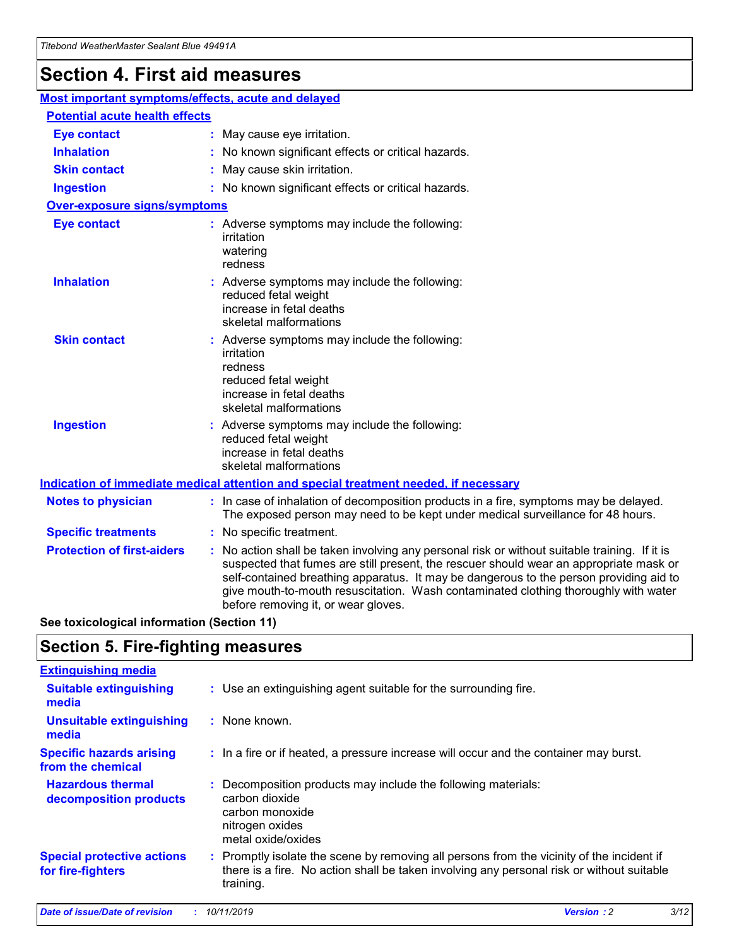## **Section 4. First aid measures**

| Most important symptoms/effects, acute and delayed |  |                                                                                                                                                                                                                                                                                                                                                                                                                 |  |
|----------------------------------------------------|--|-----------------------------------------------------------------------------------------------------------------------------------------------------------------------------------------------------------------------------------------------------------------------------------------------------------------------------------------------------------------------------------------------------------------|--|
| <b>Potential acute health effects</b>              |  |                                                                                                                                                                                                                                                                                                                                                                                                                 |  |
| <b>Eye contact</b>                                 |  | : May cause eye irritation.                                                                                                                                                                                                                                                                                                                                                                                     |  |
| <b>Inhalation</b>                                  |  | : No known significant effects or critical hazards.                                                                                                                                                                                                                                                                                                                                                             |  |
| <b>Skin contact</b>                                |  | : May cause skin irritation.                                                                                                                                                                                                                                                                                                                                                                                    |  |
| <b>Ingestion</b>                                   |  | : No known significant effects or critical hazards.                                                                                                                                                                                                                                                                                                                                                             |  |
| <b>Over-exposure signs/symptoms</b>                |  |                                                                                                                                                                                                                                                                                                                                                                                                                 |  |
| <b>Eye contact</b>                                 |  | : Adverse symptoms may include the following:<br>irritation<br>watering<br>redness                                                                                                                                                                                                                                                                                                                              |  |
| <b>Inhalation</b>                                  |  | : Adverse symptoms may include the following:<br>reduced fetal weight<br>increase in fetal deaths<br>skeletal malformations                                                                                                                                                                                                                                                                                     |  |
| <b>Skin contact</b>                                |  | : Adverse symptoms may include the following:<br>irritation<br>redness<br>reduced fetal weight<br>increase in fetal deaths<br>skeletal malformations                                                                                                                                                                                                                                                            |  |
| <b>Ingestion</b>                                   |  | : Adverse symptoms may include the following:<br>reduced fetal weight<br>increase in fetal deaths<br>skeletal malformations                                                                                                                                                                                                                                                                                     |  |
|                                                    |  | <b>Indication of immediate medical attention and special treatment needed, if necessary</b>                                                                                                                                                                                                                                                                                                                     |  |
| <b>Notes to physician</b>                          |  | : In case of inhalation of decomposition products in a fire, symptoms may be delayed.<br>The exposed person may need to be kept under medical surveillance for 48 hours.                                                                                                                                                                                                                                        |  |
| <b>Specific treatments</b>                         |  | : No specific treatment.                                                                                                                                                                                                                                                                                                                                                                                        |  |
| <b>Protection of first-aiders</b>                  |  | : No action shall be taken involving any personal risk or without suitable training. If it is<br>suspected that fumes are still present, the rescuer should wear an appropriate mask or<br>self-contained breathing apparatus. It may be dangerous to the person providing aid to<br>give mouth-to-mouth resuscitation. Wash contaminated clothing thoroughly with water<br>before removing it, or wear gloves. |  |

**See toxicological information (Section 11)**

### **Section 5. Fire-fighting measures**

| <b>Extinguishing media</b>                             |                                                                                                                                                                                                     |
|--------------------------------------------------------|-----------------------------------------------------------------------------------------------------------------------------------------------------------------------------------------------------|
| <b>Suitable extinguishing</b><br>media                 | : Use an extinguishing agent suitable for the surrounding fire.                                                                                                                                     |
| <b>Unsuitable extinguishing</b><br>media               | : None known.                                                                                                                                                                                       |
| <b>Specific hazards arising</b><br>from the chemical   | : In a fire or if heated, a pressure increase will occur and the container may burst.                                                                                                               |
| <b>Hazardous thermal</b><br>decomposition products     | : Decomposition products may include the following materials:<br>carbon dioxide<br>carbon monoxide<br>nitrogen oxides<br>metal oxide/oxides                                                         |
| <b>Special protective actions</b><br>for fire-fighters | : Promptly isolate the scene by removing all persons from the vicinity of the incident if<br>there is a fire. No action shall be taken involving any personal risk or without suitable<br>training. |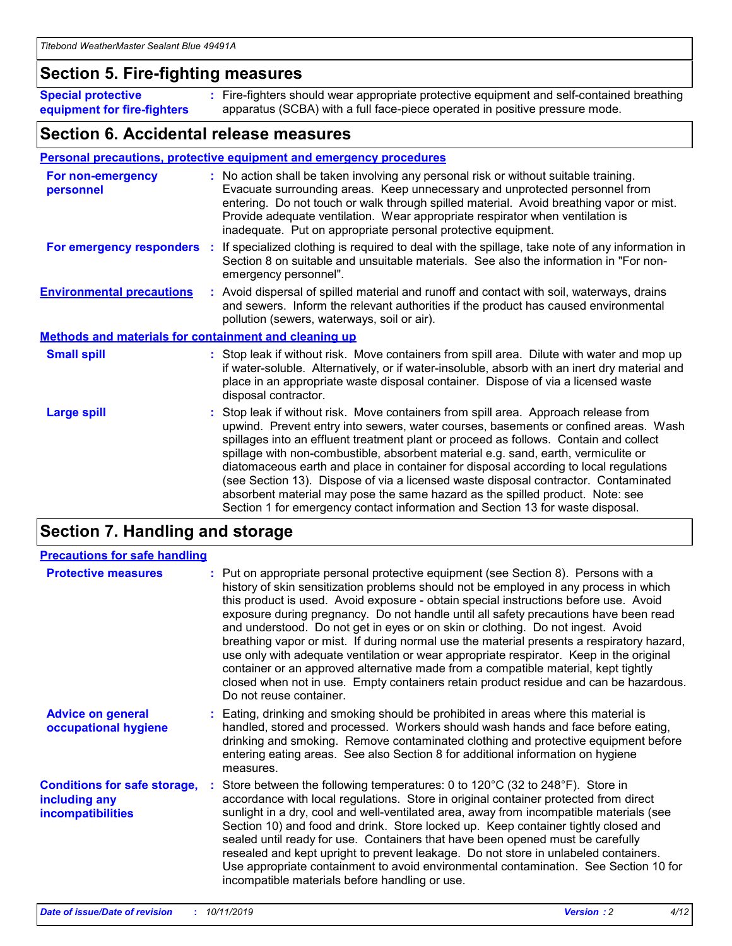### **Section 5. Fire-fighting measures**

**Special protective equipment for fire-fighters** Fire-fighters should wear appropriate protective equipment and self-contained breathing **:** apparatus (SCBA) with a full face-piece operated in positive pressure mode.

### **Section 6. Accidental release measures**

#### **Personal precautions, protective equipment and emergency procedures**

| For non-emergency<br>personnel                               | : No action shall be taken involving any personal risk or without suitable training.<br>Evacuate surrounding areas. Keep unnecessary and unprotected personnel from<br>entering. Do not touch or walk through spilled material. Avoid breathing vapor or mist.<br>Provide adequate ventilation. Wear appropriate respirator when ventilation is<br>inadequate. Put on appropriate personal protective equipment.                                                                                                                                                                                                                                                                                             |
|--------------------------------------------------------------|--------------------------------------------------------------------------------------------------------------------------------------------------------------------------------------------------------------------------------------------------------------------------------------------------------------------------------------------------------------------------------------------------------------------------------------------------------------------------------------------------------------------------------------------------------------------------------------------------------------------------------------------------------------------------------------------------------------|
| For emergency responders                                     | : If specialized clothing is required to deal with the spillage, take note of any information in<br>Section 8 on suitable and unsuitable materials. See also the information in "For non-<br>emergency personnel".                                                                                                                                                                                                                                                                                                                                                                                                                                                                                           |
| <b>Environmental precautions</b>                             | : Avoid dispersal of spilled material and runoff and contact with soil, waterways, drains<br>and sewers. Inform the relevant authorities if the product has caused environmental<br>pollution (sewers, waterways, soil or air).                                                                                                                                                                                                                                                                                                                                                                                                                                                                              |
| <b>Methods and materials for containment and cleaning up</b> |                                                                                                                                                                                                                                                                                                                                                                                                                                                                                                                                                                                                                                                                                                              |
| <b>Small spill</b>                                           | : Stop leak if without risk. Move containers from spill area. Dilute with water and mop up<br>if water-soluble. Alternatively, or if water-insoluble, absorb with an inert dry material and<br>place in an appropriate waste disposal container. Dispose of via a licensed waste<br>disposal contractor.                                                                                                                                                                                                                                                                                                                                                                                                     |
| <b>Large spill</b>                                           | : Stop leak if without risk. Move containers from spill area. Approach release from<br>upwind. Prevent entry into sewers, water courses, basements or confined areas. Wash<br>spillages into an effluent treatment plant or proceed as follows. Contain and collect<br>spillage with non-combustible, absorbent material e.g. sand, earth, vermiculite or<br>diatomaceous earth and place in container for disposal according to local regulations<br>(see Section 13). Dispose of via a licensed waste disposal contractor. Contaminated<br>absorbent material may pose the same hazard as the spilled product. Note: see<br>Section 1 for emergency contact information and Section 13 for waste disposal. |

### **Section 7. Handling and storage**

| <b>Precautions for safe handling</b>                                             |                                                                                                                                                                                                                                                                                                                                                                                                                                                                                                                                                                                                                                                                                                                                                                                                                                                  |
|----------------------------------------------------------------------------------|--------------------------------------------------------------------------------------------------------------------------------------------------------------------------------------------------------------------------------------------------------------------------------------------------------------------------------------------------------------------------------------------------------------------------------------------------------------------------------------------------------------------------------------------------------------------------------------------------------------------------------------------------------------------------------------------------------------------------------------------------------------------------------------------------------------------------------------------------|
| <b>Protective measures</b>                                                       | : Put on appropriate personal protective equipment (see Section 8). Persons with a<br>history of skin sensitization problems should not be employed in any process in which<br>this product is used. Avoid exposure - obtain special instructions before use. Avoid<br>exposure during pregnancy. Do not handle until all safety precautions have been read<br>and understood. Do not get in eyes or on skin or clothing. Do not ingest. Avoid<br>breathing vapor or mist. If during normal use the material presents a respiratory hazard,<br>use only with adequate ventilation or wear appropriate respirator. Keep in the original<br>container or an approved alternative made from a compatible material, kept tightly<br>closed when not in use. Empty containers retain product residue and can be hazardous.<br>Do not reuse container. |
| <b>Advice on general</b><br>occupational hygiene                                 | : Eating, drinking and smoking should be prohibited in areas where this material is<br>handled, stored and processed. Workers should wash hands and face before eating,<br>drinking and smoking. Remove contaminated clothing and protective equipment before<br>entering eating areas. See also Section 8 for additional information on hygiene<br>measures.                                                                                                                                                                                                                                                                                                                                                                                                                                                                                    |
| <b>Conditions for safe storage,</b><br>including any<br><b>incompatibilities</b> | Store between the following temperatures: 0 to 120 $\degree$ C (32 to 248 $\degree$ F). Store in<br>accordance with local regulations. Store in original container protected from direct<br>sunlight in a dry, cool and well-ventilated area, away from incompatible materials (see<br>Section 10) and food and drink. Store locked up. Keep container tightly closed and<br>sealed until ready for use. Containers that have been opened must be carefully<br>resealed and kept upright to prevent leakage. Do not store in unlabeled containers.<br>Use appropriate containment to avoid environmental contamination. See Section 10 for<br>incompatible materials before handling or use.                                                                                                                                                     |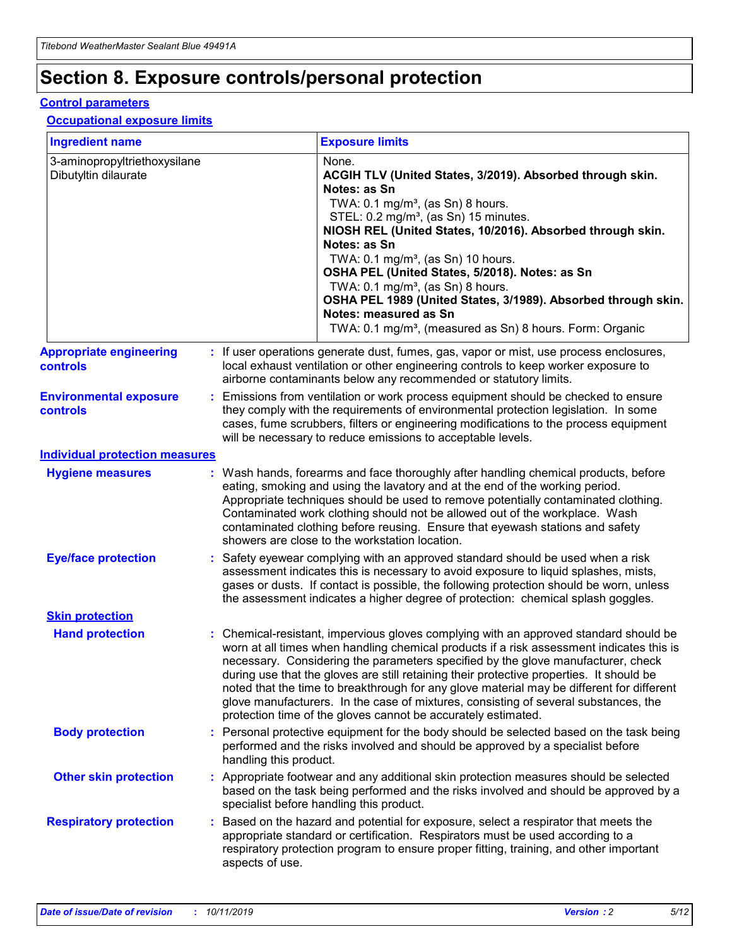## **Section 8. Exposure controls/personal protection**

#### **Control parameters**

#### **Occupational exposure limits**

| <b>Ingredient name</b>                               |    |                                          | <b>Exposure limits</b>                                                                                                                                                                                                                                                                                                                                                                                                                                                                                                                                                                                                 |
|------------------------------------------------------|----|------------------------------------------|------------------------------------------------------------------------------------------------------------------------------------------------------------------------------------------------------------------------------------------------------------------------------------------------------------------------------------------------------------------------------------------------------------------------------------------------------------------------------------------------------------------------------------------------------------------------------------------------------------------------|
| 3-aminopropyltriethoxysilane<br>Dibutyltin dilaurate |    |                                          | None.<br>ACGIH TLV (United States, 3/2019). Absorbed through skin.<br>Notes: as Sn<br>TWA: 0.1 mg/m <sup>3</sup> , (as Sn) 8 hours.<br>STEL: 0.2 mg/m <sup>3</sup> , (as Sn) 15 minutes.<br>NIOSH REL (United States, 10/2016). Absorbed through skin.<br>Notes: as Sn<br>TWA: 0.1 mg/m <sup>3</sup> , (as Sn) 10 hours.<br>OSHA PEL (United States, 5/2018). Notes: as Sn<br>TWA: $0.1 \text{ mg/m}^3$ , (as Sn) 8 hours.<br>OSHA PEL 1989 (United States, 3/1989). Absorbed through skin.<br>Notes: measured as Sn<br>TWA: 0.1 mg/m <sup>3</sup> , (measured as Sn) 8 hours. Form: Organic                           |
| <b>Appropriate engineering</b><br>controls           |    |                                          | : If user operations generate dust, fumes, gas, vapor or mist, use process enclosures,<br>local exhaust ventilation or other engineering controls to keep worker exposure to<br>airborne contaminants below any recommended or statutory limits.                                                                                                                                                                                                                                                                                                                                                                       |
| <b>Environmental exposure</b><br><b>controls</b>     |    |                                          | Emissions from ventilation or work process equipment should be checked to ensure<br>they comply with the requirements of environmental protection legislation. In some<br>cases, fume scrubbers, filters or engineering modifications to the process equipment<br>will be necessary to reduce emissions to acceptable levels.                                                                                                                                                                                                                                                                                          |
| <b>Individual protection measures</b>                |    |                                          |                                                                                                                                                                                                                                                                                                                                                                                                                                                                                                                                                                                                                        |
| <b>Hygiene measures</b>                              |    |                                          | : Wash hands, forearms and face thoroughly after handling chemical products, before<br>eating, smoking and using the lavatory and at the end of the working period.<br>Appropriate techniques should be used to remove potentially contaminated clothing.<br>Contaminated work clothing should not be allowed out of the workplace. Wash<br>contaminated clothing before reusing. Ensure that eyewash stations and safety<br>showers are close to the workstation location.                                                                                                                                            |
| <b>Eye/face protection</b>                           |    |                                          | : Safety eyewear complying with an approved standard should be used when a risk<br>assessment indicates this is necessary to avoid exposure to liquid splashes, mists,<br>gases or dusts. If contact is possible, the following protection should be worn, unless<br>the assessment indicates a higher degree of protection: chemical splash goggles.                                                                                                                                                                                                                                                                  |
| <b>Skin protection</b>                               |    |                                          |                                                                                                                                                                                                                                                                                                                                                                                                                                                                                                                                                                                                                        |
| <b>Hand protection</b>                               |    |                                          | : Chemical-resistant, impervious gloves complying with an approved standard should be<br>worn at all times when handling chemical products if a risk assessment indicates this is<br>necessary. Considering the parameters specified by the glove manufacturer, check<br>during use that the gloves are still retaining their protective properties. It should be<br>noted that the time to breakthrough for any glove material may be different for different<br>glove manufacturers. In the case of mixtures, consisting of several substances, the<br>protection time of the gloves cannot be accurately estimated. |
| <b>Body protection</b>                               |    | handling this product.                   | Personal protective equipment for the body should be selected based on the task being<br>performed and the risks involved and should be approved by a specialist before                                                                                                                                                                                                                                                                                                                                                                                                                                                |
| <b>Other skin protection</b>                         |    | specialist before handling this product. | : Appropriate footwear and any additional skin protection measures should be selected<br>based on the task being performed and the risks involved and should be approved by a                                                                                                                                                                                                                                                                                                                                                                                                                                          |
| <b>Respiratory protection</b>                        | ÷. | aspects of use.                          | Based on the hazard and potential for exposure, select a respirator that meets the<br>appropriate standard or certification. Respirators must be used according to a<br>respiratory protection program to ensure proper fitting, training, and other important                                                                                                                                                                                                                                                                                                                                                         |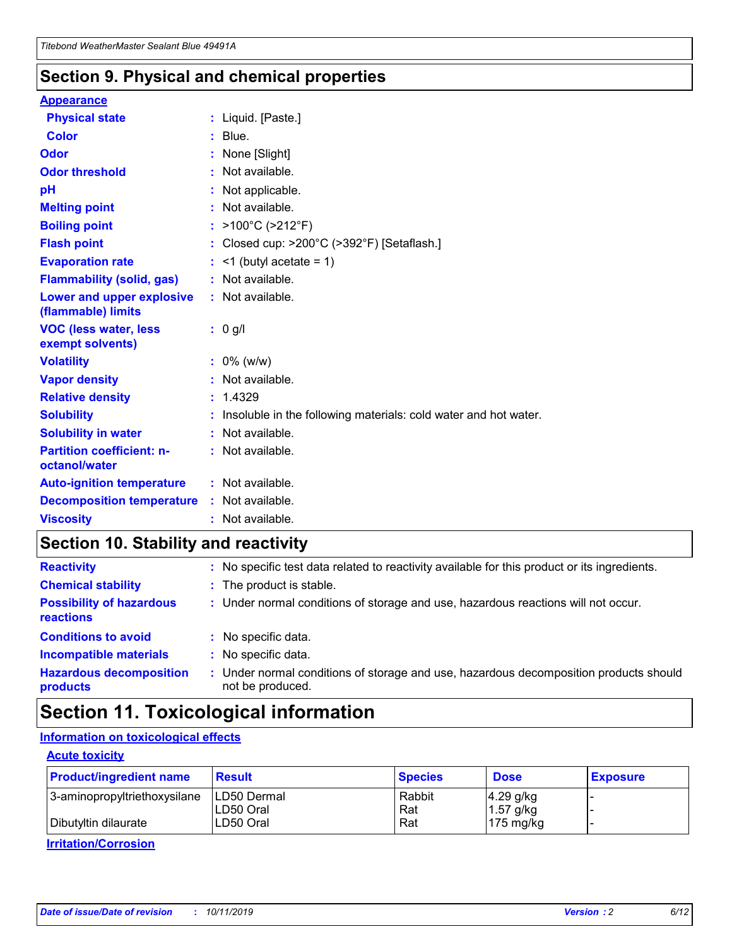### **Section 9. Physical and chemical properties**

#### **Appearance**

| <b>Physical state</b>                             | : Liquid. [Paste.]                                              |
|---------------------------------------------------|-----------------------------------------------------------------|
| <b>Color</b>                                      | $:$ Blue.                                                       |
| Odor                                              | : None [Slight]                                                 |
| <b>Odor threshold</b>                             | $:$ Not available.                                              |
| рH                                                | : Not applicable.                                               |
| <b>Melting point</b>                              | : Not available.                                                |
| <b>Boiling point</b>                              | : >100°C (>212°F)                                               |
| <b>Flash point</b>                                | : Closed cup: >200°C (>392°F) [Setaflash.]                      |
| <b>Evaporation rate</b>                           | $:$ <1 (butyl acetate = 1)                                      |
| <b>Flammability (solid, gas)</b>                  | : Not available.                                                |
| Lower and upper explosive<br>(flammable) limits   | : Not available.                                                |
| <b>VOC (less water, less</b><br>exempt solvents)  | $: 0$ g/l                                                       |
| <b>Volatility</b>                                 | $: 0\%$ (w/w)                                                   |
| <b>Vapor density</b>                              | : Not available.                                                |
| <b>Relative density</b>                           | : 1.4329                                                        |
| <b>Solubility</b>                                 | Insoluble in the following materials: cold water and hot water. |
| <b>Solubility in water</b>                        | : Not available.                                                |
| <b>Partition coefficient: n-</b><br>octanol/water | $:$ Not available.                                              |
| <b>Auto-ignition temperature</b>                  | : Not available.                                                |
| <b>Decomposition temperature</b>                  | : Not available.                                                |
| <b>Viscosity</b>                                  | : Not available.                                                |

### **Section 10. Stability and reactivity**

| <b>Reactivity</b>                            | : No specific test data related to reactivity available for this product or its ingredients.            |
|----------------------------------------------|---------------------------------------------------------------------------------------------------------|
| <b>Chemical stability</b>                    | : The product is stable.                                                                                |
| <b>Possibility of hazardous</b><br>reactions | : Under normal conditions of storage and use, hazardous reactions will not occur.                       |
| <b>Conditions to avoid</b>                   | : No specific data.                                                                                     |
| <b>Incompatible materials</b>                | : No specific data.                                                                                     |
| <b>Hazardous decomposition</b><br>products   | Under normal conditions of storage and use, hazardous decomposition products should<br>not be produced. |

### **Section 11. Toxicological information**

### **Information on toxicological effects**

#### **Acute toxicity**

| <b>Product/ingredient name</b> | <b>Result</b>           | <b>Species</b> | <b>Dose</b>                | <b>Exposure</b> |
|--------------------------------|-------------------------|----------------|----------------------------|-----------------|
| 3-aminopropyltriethoxysilane   | <b>ILD50 Dermal</b>     | Rabbit         | 4.29 g/kg                  |                 |
| Dibutyltin dilaurate           | ILD50 Oral<br>LD50 Oral | Rat<br>Rat     | $1.57$ g/kg<br>175 $mg/kg$ |                 |
|                                |                         |                |                            |                 |

**Irritation/Corrosion**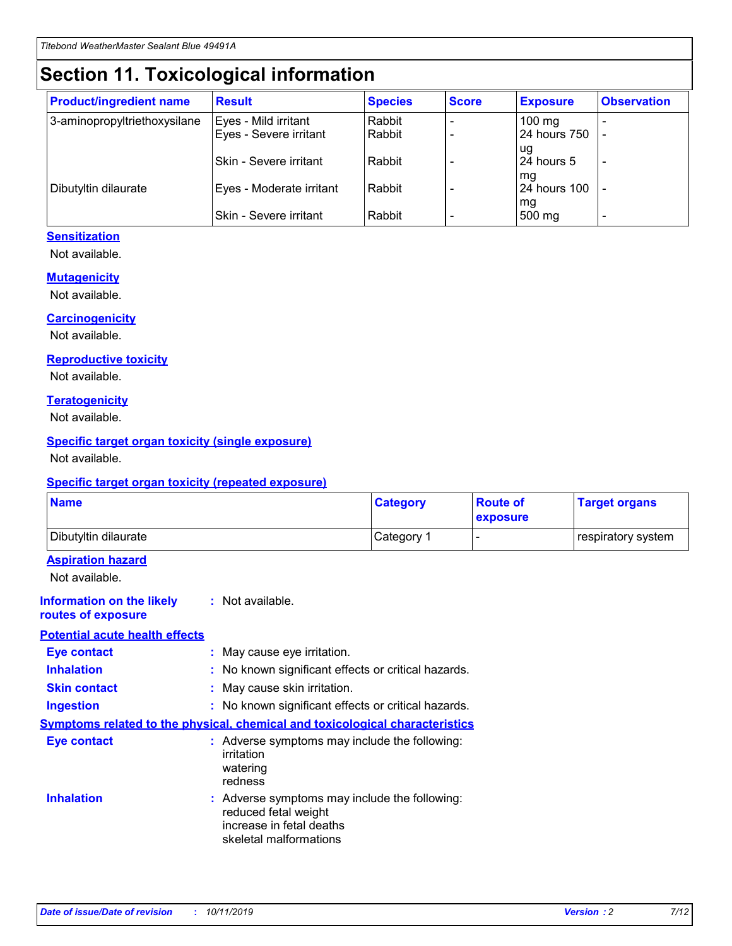## **Section 11. Toxicological information**

| <b>Product/ingredient name</b> | <b>Result</b>                 | <b>Species</b> | <b>Score</b> | <b>Exposure</b>    | <b>Observation</b> |
|--------------------------------|-------------------------------|----------------|--------------|--------------------|--------------------|
| 3-aminopropyltriethoxysilane   | Eyes - Mild irritant          | Rabbit         |              | $100$ mg           |                    |
|                                | Eyes - Severe irritant        | Rabbit         |              | 24 hours 750       |                    |
|                                |                               |                |              | ug                 |                    |
|                                | <b>Skin - Severe irritant</b> | Rabbit         |              | 24 hours 5         | ۰                  |
| Dibutyltin dilaurate           | Eyes - Moderate irritant      | Rabbit         |              | mq<br>24 hours 100 |                    |
|                                |                               |                |              | mg                 |                    |
|                                | Skin - Severe irritant        | Rabbit         |              | 500 mg             |                    |

### **Sensitization**

Not available.

#### **Mutagenicity**

Not available.

#### **Carcinogenicity**

Not available.

#### **Reproductive toxicity**

Not available.

#### **Teratogenicity**

Not available.

#### **Specific target organ toxicity (single exposure)**

Not available.

#### **Specific target organ toxicity (repeated exposure)**

| <b>Name</b>                                                                  |                                                                            | <b>Category</b>                                     | <b>Route of</b><br>exposure | <b>Target organs</b> |
|------------------------------------------------------------------------------|----------------------------------------------------------------------------|-----------------------------------------------------|-----------------------------|----------------------|
| Dibutyltin dilaurate                                                         |                                                                            | Category 1                                          | -                           | respiratory system   |
| <b>Aspiration hazard</b><br>Not available.                                   |                                                                            |                                                     |                             |                      |
| <b>Information on the likely</b><br>routes of exposure                       | : Not available.                                                           |                                                     |                             |                      |
| <b>Potential acute health effects</b>                                        |                                                                            |                                                     |                             |                      |
| <b>Eye contact</b>                                                           | : May cause eye irritation.                                                |                                                     |                             |                      |
| <b>Inhalation</b>                                                            |                                                                            | : No known significant effects or critical hazards. |                             |                      |
| <b>Skin contact</b>                                                          | : May cause skin irritation.                                               |                                                     |                             |                      |
| <b>Ingestion</b>                                                             |                                                                            | : No known significant effects or critical hazards. |                             |                      |
| Symptoms related to the physical, chemical and toxicological characteristics |                                                                            |                                                     |                             |                      |
| <b>Eye contact</b>                                                           | irritation<br>watering<br>redness                                          | : Adverse symptoms may include the following:       |                             |                      |
| <b>Inhalation</b>                                                            | reduced fetal weight<br>increase in fetal deaths<br>skeletal malformations | : Adverse symptoms may include the following:       |                             |                      |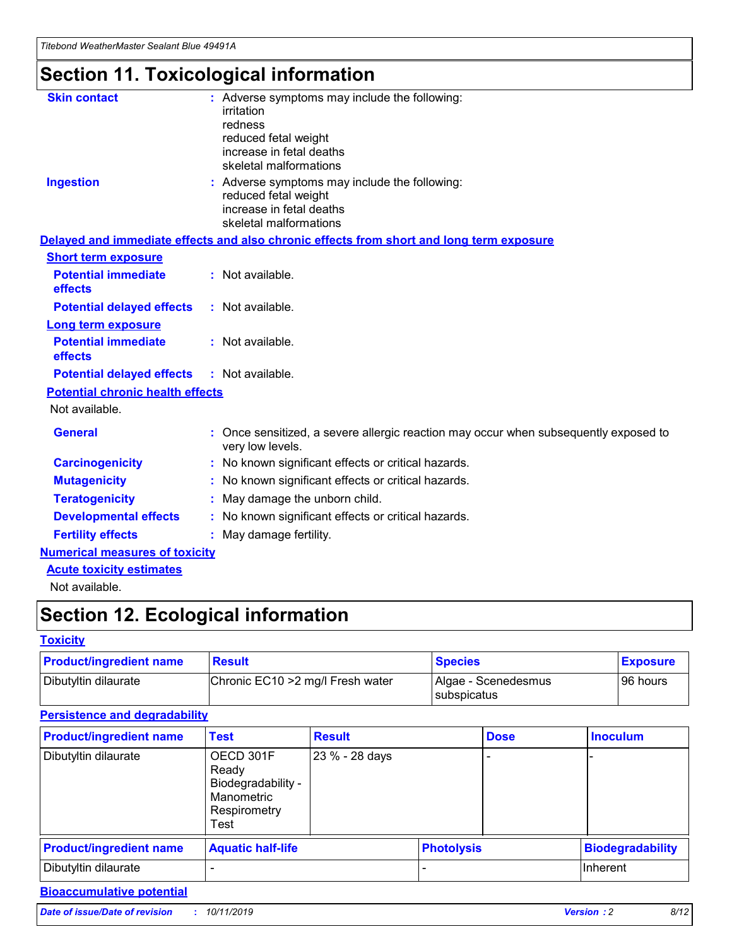## **Section 11. Toxicological information**

| <b>Skin contact</b>                     | : Adverse symptoms may include the following:<br>irritation<br>redness<br>reduced fetal weight<br>increase in fetal deaths<br>skeletal malformations |
|-----------------------------------------|------------------------------------------------------------------------------------------------------------------------------------------------------|
| <b>Ingestion</b>                        | : Adverse symptoms may include the following:<br>reduced fetal weight<br>increase in fetal deaths<br>skeletal malformations                          |
|                                         | Delayed and immediate effects and also chronic effects from short and long term exposure                                                             |
| <b>Short term exposure</b>              |                                                                                                                                                      |
| <b>Potential immediate</b><br>effects   | : Not available.                                                                                                                                     |
| <b>Potential delayed effects</b>        | : Not available.                                                                                                                                     |
| <b>Long term exposure</b>               |                                                                                                                                                      |
| <b>Potential immediate</b><br>effects   | : Not available.                                                                                                                                     |
| <b>Potential delayed effects</b>        | : Not available.                                                                                                                                     |
| <b>Potential chronic health effects</b> |                                                                                                                                                      |
| Not available.                          |                                                                                                                                                      |
| <b>General</b>                          | : Once sensitized, a severe allergic reaction may occur when subsequently exposed to<br>very low levels.                                             |
| <b>Carcinogenicity</b>                  | : No known significant effects or critical hazards.                                                                                                  |
| <b>Mutagenicity</b>                     | No known significant effects or critical hazards.                                                                                                    |
| <b>Teratogenicity</b>                   | May damage the unborn child.                                                                                                                         |
| <b>Developmental effects</b>            | No known significant effects or critical hazards.                                                                                                    |
| <b>Fertility effects</b>                | : May damage fertility.                                                                                                                              |
| <b>Numerical measures of toxicity</b>   |                                                                                                                                                      |
| <b>Acute toxicity estimates</b>         |                                                                                                                                                      |
|                                         |                                                                                                                                                      |

Not available.

## **Section 12. Ecological information**

#### **Toxicity**

| <b>Product/ingredient name</b> | <b>Result</b>                     | <b>Species</b>                       | <b>Exposure</b> |
|--------------------------------|-----------------------------------|--------------------------------------|-----------------|
| Dibutyltin dilaurate           | Chronic EC10 > 2 mg/l Fresh water | Algae - Scenedesmus<br>I subspicatus | l 96 hours      |

#### **Persistence and degradability**

| <b>Product/ingredient name</b> | Test                                                                           | <b>Result</b>  |                   | <b>Dose</b> | <b>Inoculum</b>         |
|--------------------------------|--------------------------------------------------------------------------------|----------------|-------------------|-------------|-------------------------|
| Dibutyltin dilaurate           | OECD 301F<br>Ready<br>Biodegradability -<br>Manometric<br>Respirometry<br>Test | 23 % - 28 days |                   |             |                         |
| <b>Product/ingredient name</b> | <b>Aquatic half-life</b>                                                       |                | <b>Photolysis</b> |             | <b>Biodegradability</b> |
| Dibutyltin dilaurate           |                                                                                |                |                   |             | Inherent                |

### **Bioaccumulative potential**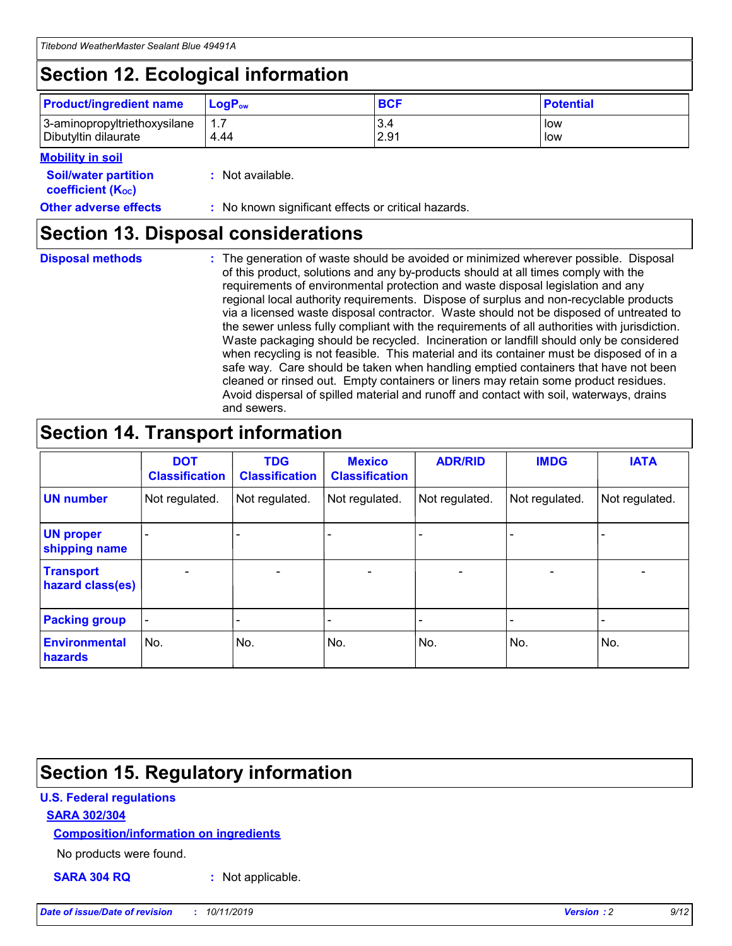## **Section 12. Ecological information**

| <b>Product/ingredient name</b> | $LoaPow$ | <b>BCF</b> | <b>Potential</b> |
|--------------------------------|----------|------------|------------------|
| 3-aminopropyltriethoxysilane   | 1.7      | 3.4        | low              |
| Dibutyltin dilaurate           | 4.44     | 2.91       | low              |

#### **Mobility in soil**

| <b>Soil/water partition</b><br>coefficient (K <sub>oc</sub> ) | : Not available.                                    |
|---------------------------------------------------------------|-----------------------------------------------------|
| <b>Other adverse effects</b>                                  | : No known significant effects or critical hazards. |

### **Section 13. Disposal considerations**

| <b>Disposal methods</b> |
|-------------------------|
|                         |

**Disposal methods** : The generation of waste should be avoided or minimized wherever possible. Disposal of this product, solutions and any by-products should at all times comply with the requirements of environmental protection and waste disposal legislation and any regional local authority requirements. Dispose of surplus and non-recyclable products via a licensed waste disposal contractor. Waste should not be disposed of untreated to the sewer unless fully compliant with the requirements of all authorities with jurisdiction. Waste packaging should be recycled. Incineration or landfill should only be considered when recycling is not feasible. This material and its container must be disposed of in a safe way. Care should be taken when handling emptied containers that have not been cleaned or rinsed out. Empty containers or liners may retain some product residues. Avoid dispersal of spilled material and runoff and contact with soil, waterways, drains and sewers.

## **Section 14. Transport information**

|                                      | <b>DOT</b><br><b>Classification</b> | <b>TDG</b><br><b>Classification</b> | <b>Mexico</b><br><b>Classification</b> | <b>ADR/RID</b>               | <b>IMDG</b>    | <b>IATA</b>              |
|--------------------------------------|-------------------------------------|-------------------------------------|----------------------------------------|------------------------------|----------------|--------------------------|
| <b>UN number</b>                     | Not regulated.                      | Not regulated.                      | Not regulated.                         | Not regulated.               | Not regulated. | Not regulated.           |
| <b>UN proper</b><br>shipping name    |                                     |                                     |                                        |                              |                |                          |
| <b>Transport</b><br>hazard class(es) | $\blacksquare$                      | $\overline{\phantom{0}}$            | $\overline{\phantom{a}}$               | $\qquad \qquad \blacksquare$ | $\blacksquare$ | $\overline{\phantom{0}}$ |
| <b>Packing group</b>                 | $\overline{\phantom{a}}$            | -                                   |                                        | -                            |                | -                        |
| <b>Environmental</b><br>hazards      | No.                                 | No.                                 | No.                                    | No.                          | No.            | No.                      |

## **Section 15. Regulatory information**

#### **U.S. Federal regulations**

#### **SARA 302/304**

#### **Composition/information on ingredients**

No products were found.

**SARA 304 RQ :** Not applicable.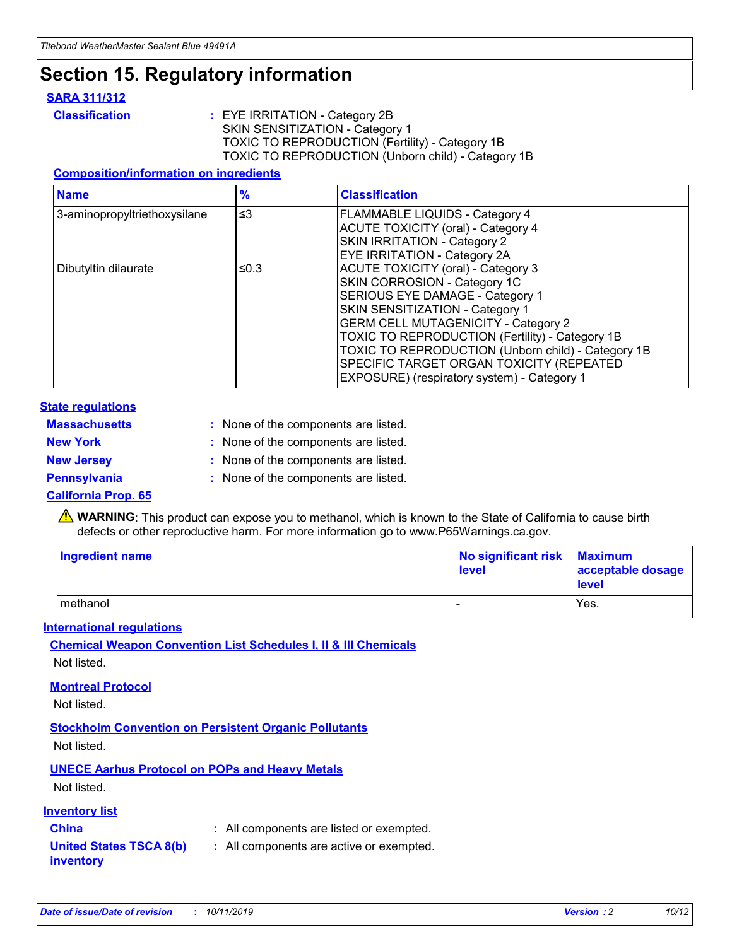## **Section 15. Regulatory information**

#### **SARA 311/312**

**Classification :** EYE IRRITATION - Category 2B SKIN SENSITIZATION - Category 1 TOXIC TO REPRODUCTION (Fertility) - Category 1B TOXIC TO REPRODUCTION (Unborn child) - Category 1B

#### **Composition/information on ingredients**

| <b>Name</b>                  | $\frac{9}{6}$ | <b>Classification</b>                                                                                            |
|------------------------------|---------------|------------------------------------------------------------------------------------------------------------------|
| 3-aminopropyltriethoxysilane | $\leq$ 3      | <b>FLAMMABLE LIQUIDS - Category 4</b><br><b>ACUTE TOXICITY (oral) - Category 4</b>                               |
|                              |               | SKIN IRRITATION - Category 2<br>EYE IRRITATION - Category 2A                                                     |
| Dibutyltin dilaurate         | ≤0.3          | ACUTE TOXICITY (oral) - Category 3<br>SKIN CORROSION - Category 1C                                               |
|                              |               | SERIOUS EYE DAMAGE - Category 1<br>SKIN SENSITIZATION - Category 1<br><b>GERM CELL MUTAGENICITY - Category 2</b> |
|                              |               | TOXIC TO REPRODUCTION (Fertility) - Category 1B<br>TOXIC TO REPRODUCTION (Unborn child) - Category 1B            |
|                              |               | SPECIFIC TARGET ORGAN TOXICITY (REPEATED<br>EXPOSURE) (respiratory system) - Category 1                          |

#### **State regulations**

| <b>Massachusetts</b> | : None of the components are listed. |
|----------------------|--------------------------------------|
| <b>New York</b>      | : None of the components are listed. |
| <b>New Jersey</b>    | : None of the components are listed. |
| <b>Pennsylvania</b>  | : None of the components are listed. |

#### **California Prop. 65**

**A** WARNING: This product can expose you to methanol, which is known to the State of California to cause birth defects or other reproductive harm. For more information go to www.P65Warnings.ca.gov.

| <b>Ingredient name</b> | No significant risk Maximum<br>level | acceptable dosage<br>level |
|------------------------|--------------------------------------|----------------------------|
| methanol               |                                      | Yes.                       |

#### **International regulations**

**Chemical Weapon Convention List Schedules I, II & III Chemicals** Not listed.

#### **Montreal Protocol**

Not listed.

#### **Stockholm Convention on Persistent Organic Pollutants**

Not listed.

### **UNECE Aarhus Protocol on POPs and Heavy Metals**

Not listed.

#### **Inventory list**

### **China :** All components are listed or exempted.

#### **United States TSCA 8(b) inventory :** All components are active or exempted.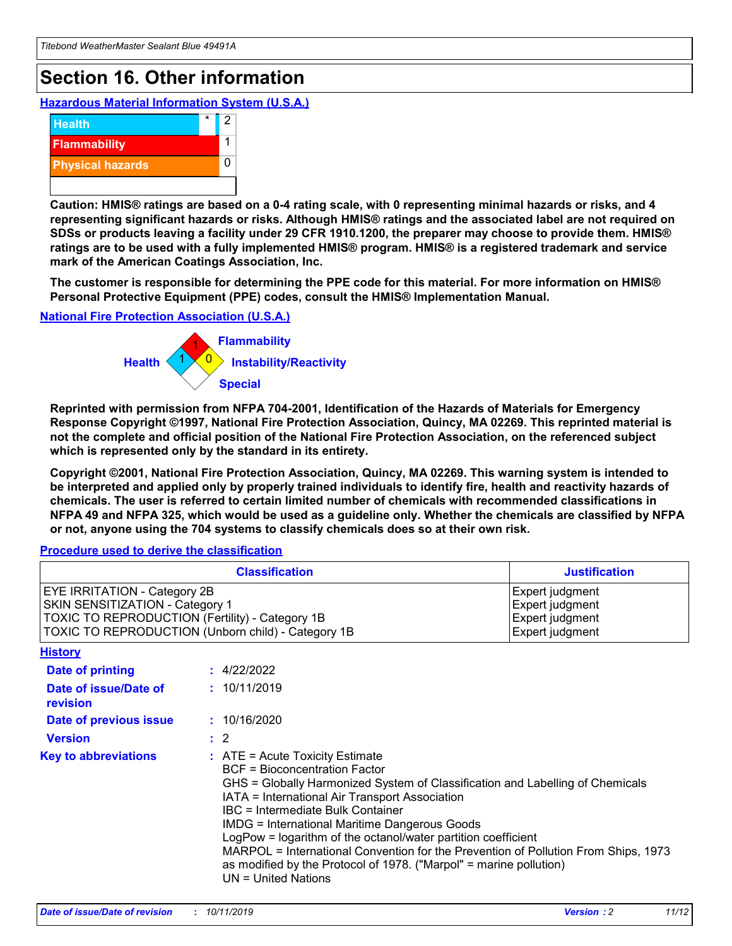## **Section 16. Other information**

**Hazardous Material Information System (U.S.A.)**



**Caution: HMIS® ratings are based on a 0-4 rating scale, with 0 representing minimal hazards or risks, and 4 representing significant hazards or risks. Although HMIS® ratings and the associated label are not required on SDSs or products leaving a facility under 29 CFR 1910.1200, the preparer may choose to provide them. HMIS® ratings are to be used with a fully implemented HMIS® program. HMIS® is a registered trademark and service mark of the American Coatings Association, Inc.**

**The customer is responsible for determining the PPE code for this material. For more information on HMIS® Personal Protective Equipment (PPE) codes, consult the HMIS® Implementation Manual.**

#### **National Fire Protection Association (U.S.A.)**



**Reprinted with permission from NFPA 704-2001, Identification of the Hazards of Materials for Emergency Response Copyright ©1997, National Fire Protection Association, Quincy, MA 02269. This reprinted material is not the complete and official position of the National Fire Protection Association, on the referenced subject which is represented only by the standard in its entirety.**

**Copyright ©2001, National Fire Protection Association, Quincy, MA 02269. This warning system is intended to be interpreted and applied only by properly trained individuals to identify fire, health and reactivity hazards of chemicals. The user is referred to certain limited number of chemicals with recommended classifications in NFPA 49 and NFPA 325, which would be used as a guideline only. Whether the chemicals are classified by NFPA or not, anyone using the 704 systems to classify chemicals does so at their own risk.**

**Procedure used to derive the classification**

|                                                                                                                    | <b>Classification</b>                                                                                                                            | <b>Justification</b>                                                                                                                                                                                                                                                                                                                                                                                                 |  |
|--------------------------------------------------------------------------------------------------------------------|--------------------------------------------------------------------------------------------------------------------------------------------------|----------------------------------------------------------------------------------------------------------------------------------------------------------------------------------------------------------------------------------------------------------------------------------------------------------------------------------------------------------------------------------------------------------------------|--|
| EYE IRRITATION - Category 2B<br>SKIN SENSITIZATION - Category 1<br>TOXIC TO REPRODUCTION (Fertility) - Category 1B | TOXIC TO REPRODUCTION (Unborn child) - Category 1B                                                                                               | Expert judgment<br>Expert judgment<br>Expert judgment<br>Expert judgment                                                                                                                                                                                                                                                                                                                                             |  |
| <b>History</b>                                                                                                     |                                                                                                                                                  |                                                                                                                                                                                                                                                                                                                                                                                                                      |  |
| Date of printing                                                                                                   | : 4/22/2022                                                                                                                                      |                                                                                                                                                                                                                                                                                                                                                                                                                      |  |
| Date of issue/Date of<br>revision                                                                                  | : 10/11/2019                                                                                                                                     |                                                                                                                                                                                                                                                                                                                                                                                                                      |  |
| Date of previous issue                                                                                             | : 10/16/2020                                                                                                                                     |                                                                                                                                                                                                                                                                                                                                                                                                                      |  |
| <b>Version</b>                                                                                                     | $\therefore$ 2                                                                                                                                   |                                                                                                                                                                                                                                                                                                                                                                                                                      |  |
| <b>Key to abbreviations</b>                                                                                        | $\therefore$ ATE = Acute Toxicity Estimate<br><b>BCF</b> = Bioconcentration Factor<br>IBC = Intermediate Bulk Container<br>$UN = United Nations$ | GHS = Globally Harmonized System of Classification and Labelling of Chemicals<br>IATA = International Air Transport Association<br><b>IMDG = International Maritime Dangerous Goods</b><br>LogPow = logarithm of the octanol/water partition coefficient<br>MARPOL = International Convention for the Prevention of Pollution From Ships, 1973<br>as modified by the Protocol of 1978. ("Marpol" = marine pollution) |  |